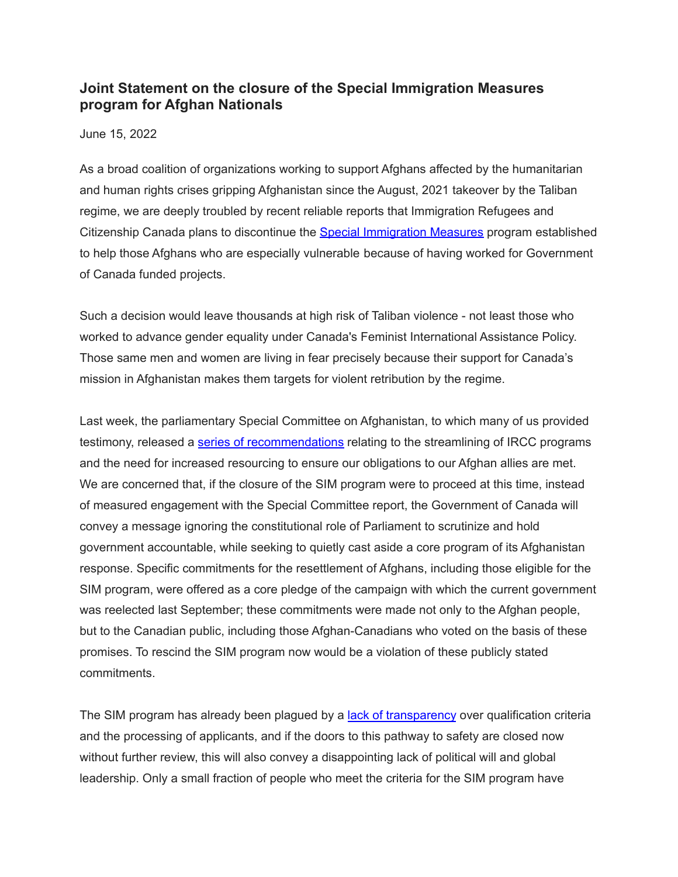## **Joint Statement on the closure of the Special Immigration Measures program for Afghan Nationals**

June 15, 2022

As a broad coalition of organizations working to support Afghans affected by the humanitarian and human rights crises gripping Afghanistan since the August, 2021 takeover by the Taliban regime, we are deeply troubled by recent reliable reports that Immigration Refugees and Citizenship Canada plans to discontinue the Special [Immigration](https://www.canada.ca/en/immigration-refugees-citizenship/services/refugees/afghanistan/special-measures/immigration-program.html) Measures program established to help those Afghans who are especially vulnerable because of having worked for Government of Canada funded projects.

Such a decision would leave thousands at high risk of Taliban violence - not least those who worked to advance gender equality under Canada's Feminist International Assistance Policy. Those same men and women are living in fear precisely because their support for Canada's mission in Afghanistan makes them targets for violent retribution by the regime.

Last week, the parliamentary Special Committee on Afghanistan, to which many of us provided testimony, released a series of [recommendations](https://www.ourcommons.ca/DocumentViewer/en/44-1/AFGH/report-1/page-24) relating to the streamlining of IRCC programs and the need for increased resourcing to ensure our obligations to our Afghan allies are met. We are concerned that, if the closure of the SIM program were to proceed at this time, instead of measured engagement with the Special Committee report, the Government of Canada will convey a message ignoring the constitutional role of Parliament to scrutinize and hold government accountable, while seeking to quietly cast aside a core program of its Afghanistan response. Specific commitments for the resettlement of Afghans, including those eligible for the SIM program, were offered as a core pledge of the campaign with which the current government was reelected last September; these commitments were made not only to the Afghan people, but to the Canadian public, including those Afghan-Canadians who voted on the basis of these promises. To rescind the SIM program now would be a violation of these publicly stated commitments.

The SIM program has already been plagued by a lack of [transparency](https://www.hilltimes.com/2022/01/31/confusion-and-chaos-define-canadas-effort-to-resettle-afghan-refugees/340671) over qualification criteria and the processing of applicants, and if the doors to this pathway to safety are closed now without further review, this will also convey a disappointing lack of political will and global leadership. Only a small fraction of people who meet the criteria for the SIM program have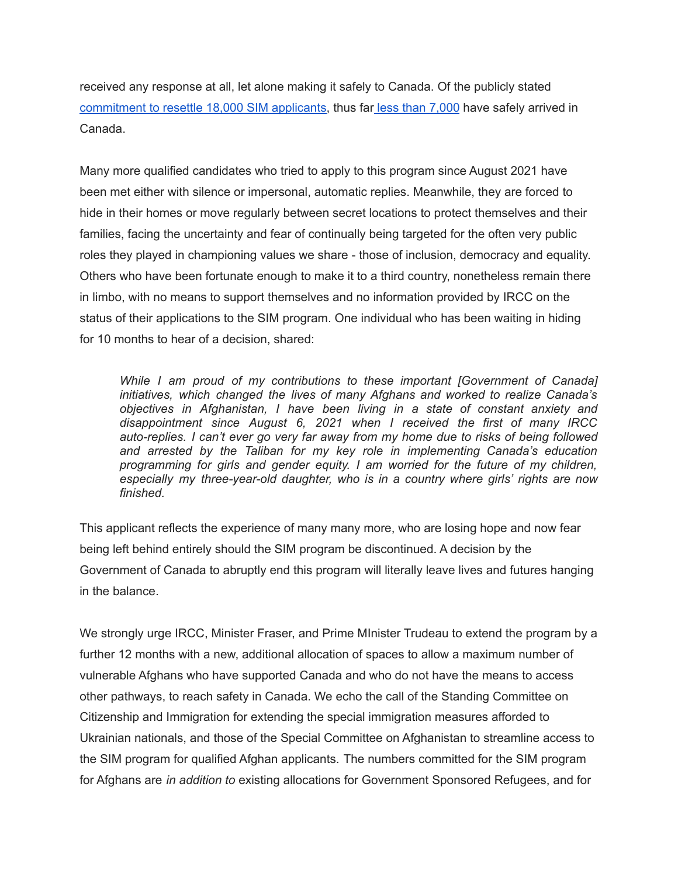received any response at all, let alone making it safely to Canada. Of the publicly stated [commitment](https://www.canada.ca/en/immigration-refugees-citizenship/services/refugees/afghanistan.html) to resettle 18,000 SIM applicants, thus far less than [7,000](https://www.theglobeandmail.com/politics/article-afghan-refugee-resettlement-canada/) have safely arrived in Canada.

Many more qualified candidates who tried to apply to this program since August 2021 have been met either with silence or impersonal, automatic replies. Meanwhile, they are forced to hide in their homes or move regularly between secret locations to protect themselves and their families, facing the uncertainty and fear of continually being targeted for the often very public roles they played in championing values we share - those of inclusion, democracy and equality. Others who have been fortunate enough to make it to a third country, nonetheless remain there in limbo, with no means to support themselves and no information provided by IRCC on the status of their applications to the SIM program. One individual who has been waiting in hiding for 10 months to hear of a decision, shared:

*While I am proud of my contributions to these important [Government of Canada] initiatives, which changed the lives of many Afghans and worked to realize Canada's objectives in Afghanistan, I have been living in a state of constant anxiety and disappointment since August 6, 2021 when I received the first of many IRCC auto-replies. I can't ever go very far away from my home due to risks of being followed and arrested by the Taliban for my key role in implementing Canada's education programming for girls and gender equity. I am worried for the future of my children, especially my three-year-old daughter, who is in a country where girls' rights are now finished.*

This applicant reflects the experience of many many more, who are losing hope and now fear being left behind entirely should the SIM program be discontinued. A decision by the Government of Canada to abruptly end this program will literally leave lives and futures hanging in the balance.

We strongly urge IRCC, Minister Fraser, and Prime MInister Trudeau to extend the program by a further 12 months with a new, additional allocation of spaces to allow a maximum number of vulnerable Afghans who have supported Canada and who do not have the means to access other pathways, to reach safety in Canada. We echo the call of the Standing Committee on Citizenship and Immigration for extending the special immigration measures afforded to Ukrainian nationals, and those of the Special Committee on Afghanistan to streamline access to the SIM program for qualified Afghan applicants. The numbers committed for the SIM program for Afghans are *in addition to* existing allocations for Government Sponsored Refugees, and for